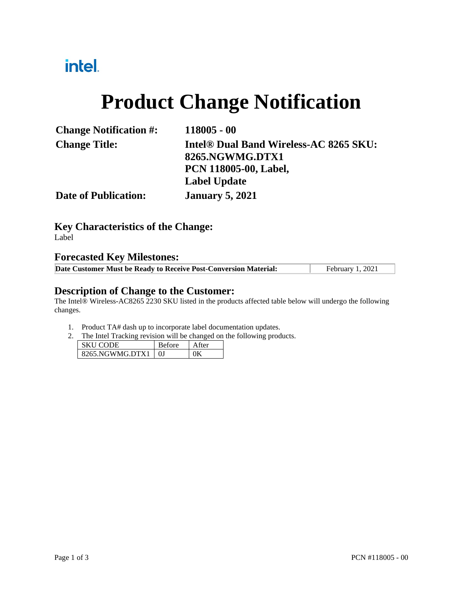## intel.

# **Product Change Notification**

| <b>Change Notification #:</b> | $118005 - 00$                                      |  |
|-------------------------------|----------------------------------------------------|--|
| <b>Change Title:</b>          | Intel <sup>®</sup> Dual Band Wireless-AC 8265 SKU: |  |
|                               | 8265.NGWMG.DTX1                                    |  |
|                               | <b>PCN 118005-00, Label,</b>                       |  |
|                               | <b>Label Update</b>                                |  |
| <b>Date of Publication:</b>   | <b>January 5, 2021</b>                             |  |

**Key Characteristics of the Change:** Label

#### **Forecasted Key Milestones:**

| Date Customer Must be Ready to Receive Post-Conversion Material: | February 1, 2021 |
|------------------------------------------------------------------|------------------|

#### **Description of Change to the Customer:**

The Intel® Wireless-AC8265 2230 SKU listed in the products affected table below will undergo the following changes.

- 1. Product TA# dash up to incorporate label documentation updates.
- 2. The Intel Tracking revision will be changed on the following products.

| SKII CODE       | <b>Before</b> |  |
|-----------------|---------------|--|
| 8265 NGWMG DTX1 |               |  |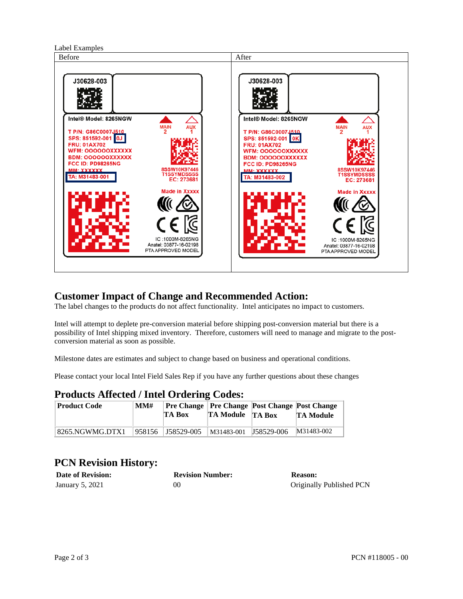

### **Customer Impact of Change and Recommended Action:**

The label changes to the products do not affect functionality. Intel anticipates no impact to customers.

Intel will attempt to deplete pre-conversion material before shipping post-conversion material but there is a possibility of Intel shipping mixed inventory. Therefore, customers will need to manage and migrate to the postconversion material as soon as possible.

Milestone dates are estimates and subject to change based on business and operational conditions.

Please contact your local Intel Field Sales Rep if you have any further questions about these changes

### **Products Affected / Intel Ordering Codes:**

| <b>Product Code</b> | MM# | TA Box            | <b>TA Module</b> TA Box |            | <b>Pre Change   Pre Change   Post Change   Post Change  </b><br><b>TA Module</b> |
|---------------------|-----|-------------------|-------------------------|------------|----------------------------------------------------------------------------------|
| 8265.NGWMG.DTX1     |     | 958156 J58529-005 | M31483-001              | J58529-006 | M31483-002                                                                       |

### **PCN Revision History:**

| <b>Date of Revision:</b> | <b>Revision Number:</b> | <b>Reason:</b>           |
|--------------------------|-------------------------|--------------------------|
| January 5, 2021          | 00                      | Originally Published PCN |